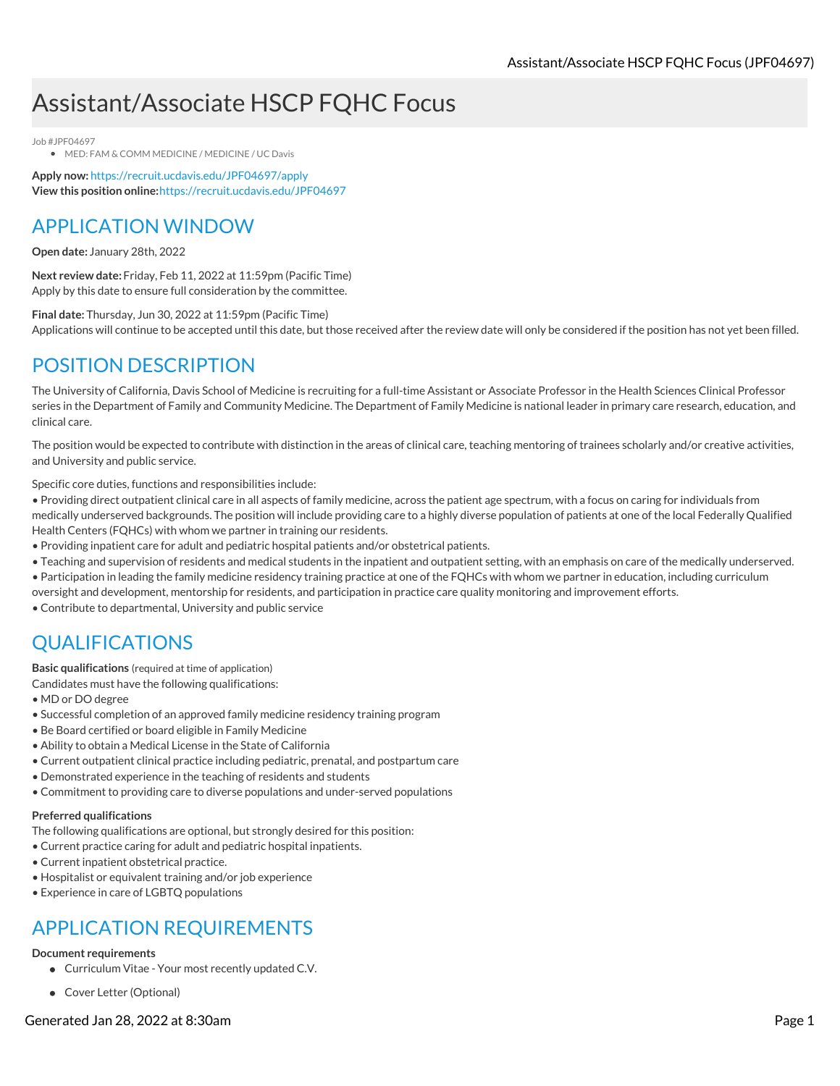# Assistant/Associate HSCP FQHC Focus

Job #JPF04697

**• MED: FAM & COMM MEDICINE / MEDICINE / UC Davis** 

**Apply now:** <https://recruit.ucdavis.edu/JPF04697/apply> **View this position online:**<https://recruit.ucdavis.edu/JPF04697>

### APPLICATION WINDOW

**Open date:** January 28th, 2022

**Next review date:** Friday, Feb 11, 2022 at 11:59pm (Pacific Time) Apply by this date to ensure full consideration by the committee.

**Final date:** Thursday, Jun 30, 2022 at 11:59pm (Pacific Time) Applications will continue to be accepted until this date, but those received after the review date will only be considered if the position has not yet been filled.

## POSITION DESCRIPTION

The University of California, Davis School of Medicine is recruiting for a full-time Assistant or Associate Professor in the Health Sciences Clinical Professor series in the Department of Family and Community Medicine. The Department of Family Medicine is national leader in primary care research, education, and clinical care.

The position would be expected to contribute with distinction in the areas of clinical care, teaching mentoring of trainees scholarly and/or creative activities, and University and public service.

Specific core duties, functions and responsibilities include:

• Providing direct outpatient clinical care in all aspects of family medicine, across the patient age spectrum, with a focus on caring for individuals from medically underserved backgrounds. The position will include providing care to a highly diverse population of patients at one of the local Federally Qualified Health Centers (FQHCs) with whom we partner in training our residents.

- Providing inpatient care for adult and pediatric hospital patients and/or obstetrical patients.
- Teaching and supervision of residents and medical students in the inpatient and outpatient setting, with an emphasis on care of the medically underserved.
- Participation in leading the family medicine residency training practice at one of the FQHCs with whom we partner in education, including curriculum

oversight and development, mentorship for residents, and participation in practice care quality monitoring and improvement efforts.

• Contribute to departmental, University and public service

## QUALIFICATIONS

**Basic qualifications** (required at time of application)

Candidates must have the following qualifications:

- MD or DO degree
- Successful completion of an approved family medicine residency training program
- Be Board certified or board eligible in Family Medicine
- Ability to obtain a Medical License in the State of California
- Current outpatient clinical practice including pediatric, prenatal, and postpartum care
- Demonstrated experience in the teaching of residents and students
- Commitment to providing care to diverse populations and under-served populations

### **Preferred qualifications**

The following qualifications are optional, but strongly desired for this position:

- Current practice caring for adult and pediatric hospital inpatients.
- Current inpatient obstetrical practice.
- Hospitalist or equivalent training and/or job experience
- Experience in care of LGBTQ populations

## APPLICATION REQUIREMENTS

### **Document requirements**

- Curriculum Vitae Your most recently updated C.V.
- Cover Letter (Optional)

Generated Jan 28, 2022 at 8:30am Page 1